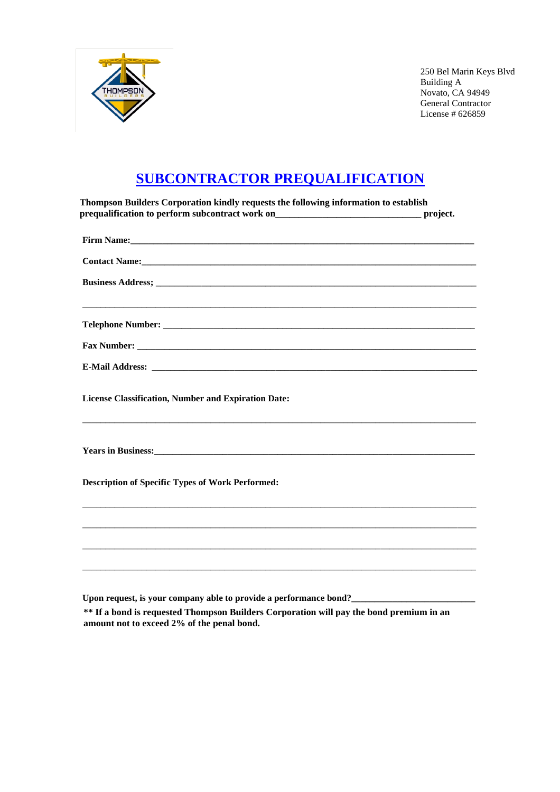

250 Bel Marin Keys Blvd Building A Novato, CA 94949 General Contractor License # 626859

## **SUBCONTRACTOR PREQUALIFICATION**

| Thompson Builders Corporation kindly requests the following information to establish<br>prequalification to perform subcontract work on_________________________________ | project. |
|--------------------------------------------------------------------------------------------------------------------------------------------------------------------------|----------|
|                                                                                                                                                                          |          |
|                                                                                                                                                                          |          |
|                                                                                                                                                                          |          |
|                                                                                                                                                                          |          |
|                                                                                                                                                                          |          |
|                                                                                                                                                                          |          |
| <b>License Classification, Number and Expiration Date:</b>                                                                                                               |          |
|                                                                                                                                                                          |          |
| <b>Description of Specific Types of Work Performed:</b>                                                                                                                  |          |
|                                                                                                                                                                          |          |
|                                                                                                                                                                          |          |
|                                                                                                                                                                          |          |
|                                                                                                                                                                          |          |

**Upon request, is your company able to provide a performance bond?\_\_\_\_\_\_\_\_\_\_\_\_\_\_\_\_\_\_\_\_\_\_\_\_\_\_\_**

**If a bond is requested West Bay Builders will pay the bond premium in an amount not to exceed 2% \*\* If a bond is requested Thompson Builders Corporation will pay the bond premium in an<br>amount not to exceed 2% of the penal bond amount not to exceed 2% of the penal bond.**